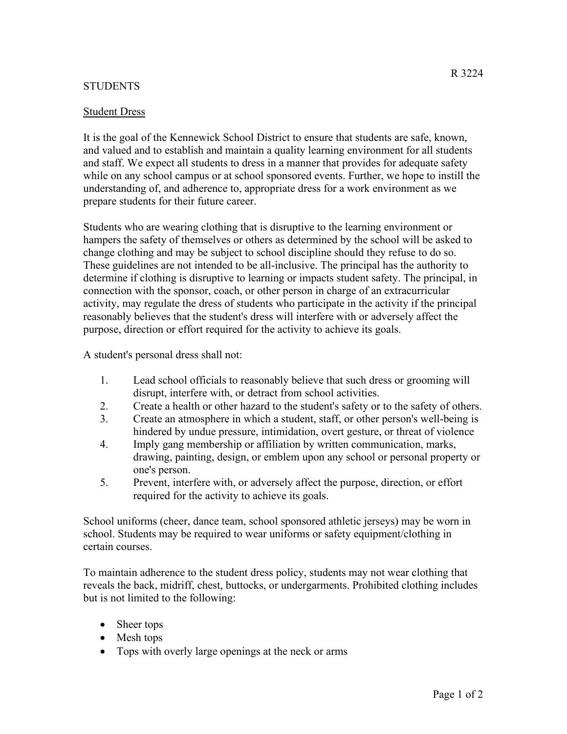## STUDENTS

## Student Dress

It is the goal of the Kennewick School District to ensure that students are safe, known, and valued and to establish and maintain a quality learning environment for all students and staff. We expect all students to dress in a manner that provides for adequate safety while on any school campus or at school sponsored events. Further, we hope to instill the understanding of, and adherence to, appropriate dress for a work environment as we prepare students for their future career.

Students who are wearing clothing that is disruptive to the learning environment or hampers the safety of themselves or others as determined by the school will be asked to change clothing and may be subject to school discipline should they refuse to do so. These guidelines are not intended to be all-inclusive. The principal has the authority to determine if clothing is disruptive to learning or impacts student safety. The principal, in connection with the sponsor, coach, or other person in charge of an extracurricular activity, may regulate the dress of students who participate in the activity if the principal reasonably believes that the student's dress will interfere with or adversely affect the purpose, direction or effort required for the activity to achieve its goals.

A student's personal dress shall not:

- 1. Lead school officials to reasonably believe that such dress or grooming will disrupt, interfere with, or detract from school activities.
- 2. Create a health or other hazard to the student's safety or to the safety of others.
- 3. Create an atmosphere in which a student, staff, or other person's well-being is hindered by undue pressure, intimidation, overt gesture, or threat of violence
- 4. Imply gang membership or affiliation by written communication, marks, drawing, painting, design, or emblem upon any school or personal property or one's person.
- 5. Prevent, interfere with, or adversely affect the purpose, direction, or effort required for the activity to achieve its goals.

School uniforms (cheer, dance team, school sponsored athletic jerseys) may be worn in school. Students may be required to wear uniforms or safety equipment/clothing in certain courses.

To maintain adherence to the student dress policy, students may not wear clothing that reveals the back, midriff, chest, buttocks, or undergarments. Prohibited clothing includes but is not limited to the following:

- Sheer tops
- Mesh tops
- Tops with overly large openings at the neck or arms